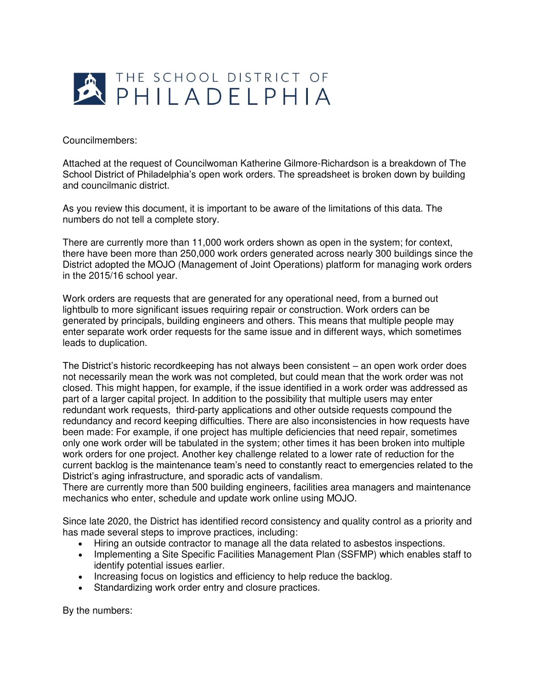

## Councilmembers:

Attached at the request of Councilwoman Katherine Gilmore-Richardson is a breakdown of The School District of Philadelphia's open work orders. The spreadsheet is broken down by building and councilmanic district.

As you review this document, it is important to be aware of the limitations of this data. The numbers do not tell a complete story.

There are currently more than 11,000 work orders shown as open in the system; for context, there have been more than 250,000 work orders generated across nearly 300 buildings since the District adopted the MOJO (Management of Joint Operations) platform for managing work orders in the 2015/16 school year.

Work orders are requests that are generated for any operational need, from a burned out lightbulb to more significant issues requiring repair or construction. Work orders can be generated by principals, building engineers and others. This means that multiple people may enter separate work order requests for the same issue and in different ways, which sometimes leads to duplication.

The District's historic recordkeeping has not always been consistent – an open work order does not necessarily mean the work was not completed, but could mean that the work order was not closed. This might happen, for example, if the issue identified in a work order was addressed as part of a larger capital project. In addition to the possibility that multiple users may enter redundant work requests, third-party applications and other outside requests compound the redundancy and record keeping difficulties. There are also inconsistencies in how requests have been made: For example, if one project has multiple deficiencies that need repair, sometimes only one work order will be tabulated in the system; other times it has been broken into multiple work orders for one project. Another key challenge related to a lower rate of reduction for the current backlog is the maintenance team's need to constantly react to emergencies related to the District's aging infrastructure, and sporadic acts of vandalism.

There are currently more than 500 building engineers, facilities area managers and maintenance mechanics who enter, schedule and update work online using MOJO.

Since late 2020, the District has identified record consistency and quality control as a priority and has made several steps to improve practices, including:

- Hiring an outside contractor to manage all the data related to asbestos inspections.
- Implementing a Site Specific Facilities Management Plan (SSFMP) which enables staff to identify potential issues earlier.
- Increasing focus on logistics and efficiency to help reduce the backlog.
- Standardizing work order entry and closure practices.

By the numbers: